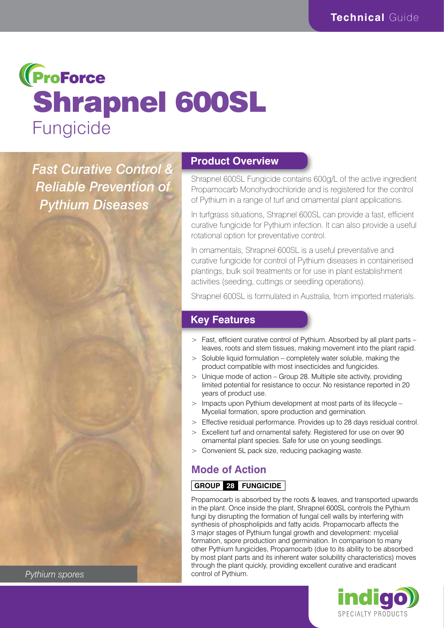# **(ProForce** Shrapnel 600SL Fungicide

*Fast Curative Control & Reliable Prevention of Pythium Diseases*

# **Product Overview**

Shrapnel 600SL Fungicide contains 600g/L of the active ingredient Propamocarb Monohydrochloride and is registered for the control of Pythium in a range of turf and ornamental plant applications.

In turfgrass situations, Shrapnel 600SL can provide a fast, efficient curative fungicide for Pythium infection. It can also provide a useful rotational option for preventative control.

In ornamentals, Shrapnel 600SL is a useful preventative and curative fungicide for control of Pythium diseases in containerised plantings, bulk soil treatments or for use in plant establishment activities (seeding, cuttings or seedling operations).

Shrapnel 600SL is formulated in Australia, from imported materials.

# **Key Features**

- > Fast, efficient curative control of Pythium. Absorbed by all plant parts leaves, roots and stem tissues, making movement into the plant rapid.
- > Soluble liquid formulation completely water soluble, making the product compatible with most insecticides and fungicides.
- $>$  Unique mode of action Group 28. Multiple site activity, providing limited potential for resistance to occur. No resistance reported in 20 years of product use.
- > Impacts upon Pythium development at most parts of its lifecycle Mycelial formation, spore production and germination.
- > Effective residual performance. Provides up to 28 days residual control.
- > Excellent turf and ornamental safety. Registered for use on over 90 ornamental plant species. Safe for use on young seedlings.
- Convenient 5L pack size, reducing packaging waste.

### **Mode of Action**

#### **GROUP 28 FUNGICIDE**

Propamocarb is absorbed by the roots & leaves, and transported upwards in the plant. Once inside the plant, Shrapnel 600SL controls the Pythium fungi by disrupting the formation of fungal cell walls by interfering with synthesis of phospholipids and fatty acids. Propamocarb affects the 3 major stages of Pythium fungal growth and development: mycelial formation, spore production and germination. In comparison to many other Pythium fungicides, Propamocarb (due to its ability to be absorbed by most plant parts and its inherent water solubility characteristics) moves through the plant quickly, providing excellent curative and eradicant control of Pythium.



*Pythium spores*